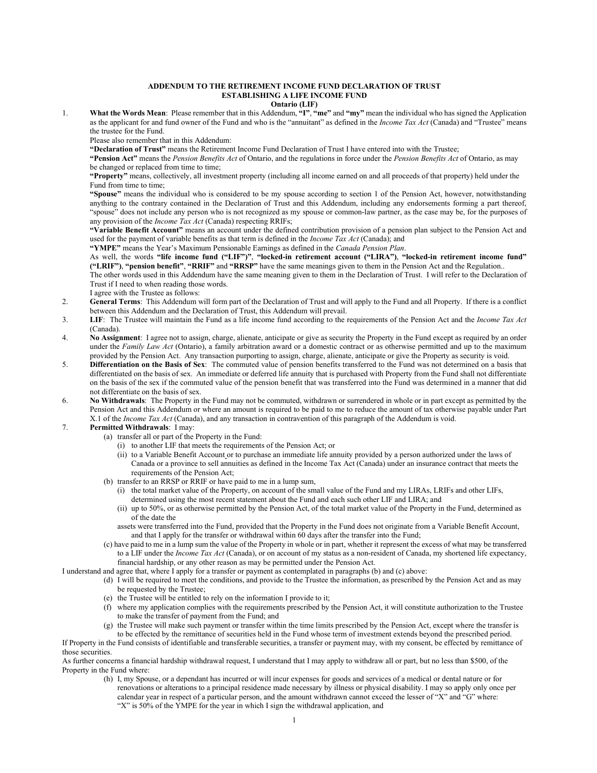## **ADDENDUM TO THE RETIREMENT INCOME FUND DECLARATION OF TRUST ESTABLISHING A LIFE INCOME FUND Ontario (LIF)**

1. **What the Words Mean**: Please remember that in this Addendum, **"I"**, **"me"** and **"my"** mean the individual who has signed the Application as the applicant for and fund owner of the Fund and who is the "annuitant" as defined in the *Income Tax Act* (Canada) and "Trustee" means the trustee for the Fund.

Please also remember that in this Addendum:

**"Declaration of Trust"** means the Retirement Income Fund Declaration of Trust I have entered into with the Trustee;

**"Pension Act"** means the *Pension Benefits Act* of Ontario, and the regulations in force under the *Pension Benefits Act* of Ontario, as may be changed or replaced from time to time;

**"Property"** means, collectively, all investment property (including all income earned on and all proceeds of that property) held under the Fund from time to time;

**"Spouse"** means the individual who is considered to be my spouse according to section 1 of the Pension Act, however, notwithstanding anything to the contrary contained in the Declaration of Trust and this Addendum, including any endorsements forming a part thereof, "spouse" does not include any person who is not recognized as my spouse or common-law partner, as the case may be, for the purposes of any provision of the *Income Tax Act* (Canada) respecting RRIFs;

**"Variable Benefit Account"** means an account under the defined contribution provision of a pension plan subject to the Pension Act and used for the payment of variable benefits as that term is defined in the *Income Tax Act* (Canada); and

**"YMPE"** means the Year's Maximum Pensionable Earnings as defined in the *Canada Pension Plan*.

As well, the words **"life income fund ("LIF")"**, **"locked-in retirement account ("LIRA")**, **"locked-in retirement income fund" ("LRIF")**, **"pension benefit"**, **"RRIF"** and **"RRSP"** have the same meanings given to them in the Pension Act and the Regulation..

The other words used in this Addendum have the same meaning given to them in the Declaration of Trust. I will refer to the Declaration of Trust if I need to when reading those words.

- I agree with the Trustee as follows:
- 2. **General Terms**: This Addendum will form part of the Declaration of Trust and will apply to the Fund and all Property. If there is a conflict between this Addendum and the Declaration of Trust, this Addendum will prevail.
- 3. **LIF**: The Trustee will maintain the Fund as a life income fund according to the requirements of the Pension Act and the *Income Tax Act* (Canada).
- 4. **No Assignment**: I agree not to assign, charge, alienate, anticipate or give as security the Property in the Fund except as required by an order under the *Family Law Act* (Ontario), a family arbitration award or a domestic contract or as otherwise permitted and up to the maximum provided by the Pension Act. Any transaction purporting to assign, charge, alienate, anticipate or give the Property as security is void.
- 5. **Differentiation on the Basis of Sex**: The commuted value of pension benefits transferred to the Fund was not determined on a basis that differentiated on the basis of sex. An immediate or deferred life annuity that is purchased with Property from the Fund shall not differentiate on the basis of the sex if the commuted value of the pension benefit that was transferred into the Fund was determined in a manner that did not differentiate on the basis of sex.
- 6. **No Withdrawals**: The Property in the Fund may not be commuted, withdrawn or surrendered in whole or in part except as permitted by the Pension Act and this Addendum or where an amount is required to be paid to me to reduce the amount of tax otherwise payable under Part X.1 of the *Income Tax Act* (Canada), and any transaction in contravention of this paragraph of the Addendum is void.

## 7. **Permitted Withdrawals**: I may:

- (a) transfer all or part of the Property in the Fund:
	- (i) to another LIF that meets the requirements of the Pension Act; or
	- (ii) to a Variable Benefit Account or to purchase an immediate life annuity provided by a person authorized under the laws of Canada or a province to sell annuities as defined in the Income Tax Act (Canada) under an insurance contract that meets the requirements of the Pension Act;
- (b) transfer to an RRSP or RRIF or have paid to me in a lump sum,
	- (i) the total market value of the Property, on account of the small value of the Fund and my LIRAs, LRIFs and other LIFs, determined using the most recent statement about the Fund and each such other LIF and LIRA; and
	- (ii) up to 50%, or as otherwise permitted by the Pension Act, of the total market value of the Property in the Fund, determined as of the date the
	- assets were transferred into the Fund, provided that the Property in the Fund does not originate from a Variable Benefit Account, and that I apply for the transfer or withdrawal within 60 days after the transfer into the Fund;
- (c) have paid to me in a lump sum the value of the Property in whole or in part, whether it represent the excess of what may be transferred to a LIF under the *Income Tax Act* (Canada), or on account of my status as a non-resident of Canada, my shortened life expectancy, financial hardship, or any other reason as may be permitted under the Pension Act.

I understand and agree that, where I apply for a transfer or payment as contemplated in paragraphs (b) and (c) above:

- (d) I will be required to meet the conditions, and provide to the Trustee the information, as prescribed by the Pension Act and as may be requested by the Trustee;
- (e) the Trustee will be entitled to rely on the information I provide to it;
- (f) where my application complies with the requirements prescribed by the Pension Act, it will constitute authorization to the Trustee to make the transfer of payment from the Fund; and
- (g) the Trustee will make such payment or transfer within the time limits prescribed by the Pension Act, except where the transfer is to be effected by the remittance of securities held in the Fund whose term of investment extends beyond the prescribed period.

If Property in the Fund consists of identifiable and transferable securities, a transfer or payment may, with my consent, be effected by remittance of those securities.

As further concerns a financial hardship withdrawal request, I understand that I may apply to withdraw all or part, but no less than \$500, of the Property in the Fund where:

(h) I, my Spouse, or a dependant has incurred or will incur expenses for goods and services of a medical or dental nature or for renovations or alterations to a principal residence made necessary by illness or physical disability. I may so apply only once per calendar year in respect of a particular person, and the amount withdrawn cannot exceed the lesser of "X" and "G" where: "X" is 50% of the YMPE for the year in which I sign the withdrawal application, and